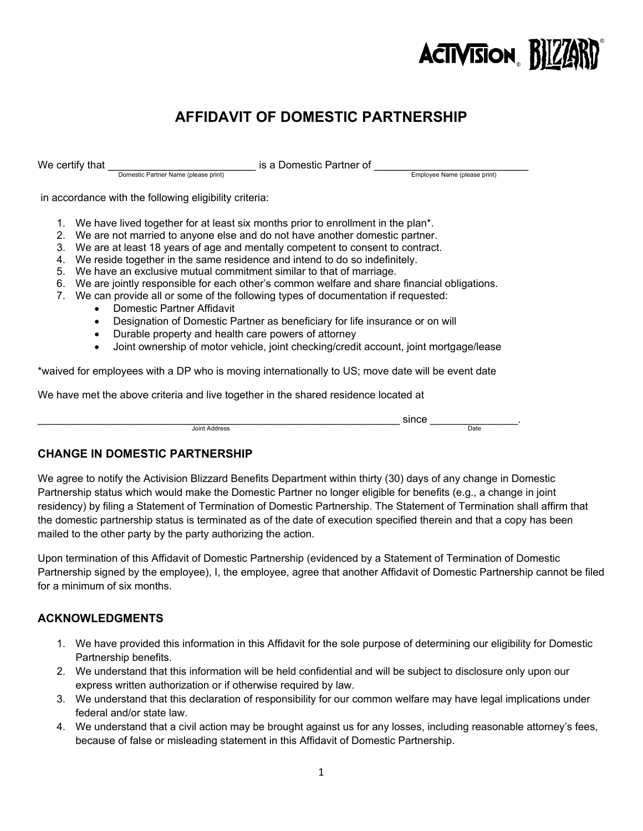

# **AFFIDAVIT OF DOMESTIC PARTNERSHIP**

We certify that \_\_\_\_\_\_\_\_\_\_\_\_\_\_\_\_\_\_\_\_\_\_\_ is a Domestic Partner of \_\_\_\_\_\_\_\_\_\_\_\_\_\_\_\_\_\_\_\_\_\_\_\_ Domestic Partner Name (please print) Employee Name (please print)

in accordance with the following eligibility criteria:

- 1. We have lived together for at least six months prior to enrollment in the plan\*.
- 2. We are not married to anyone else and do not have another domestic partner.
- 3. We are at least 18 years of age and mentally competent to consent to contract.
- 4. We reside together in the same residence and intend to do so indefinitely.
- 5. We have an exclusive mutual commitment similar to that of marriage.
- 6. We are jointly responsible for each other's common welfare and share financial obligations.
- 7. We can provide all or some of the following types of documentation if requested:
	- Domestic Partner Affidavit
	- Designation of Domestic Partner as beneficiary for life insurance or on will
	- Durable property and health care powers of attorney
	- Joint ownership of motor vehicle, joint checking/credit account, joint mortgage/lease

\*waived for employees with a DP who is moving internationally to US; move date will be event date

We have met the above criteria and live together in the shared residence located at

\_\_\_\_\_\_\_\_\_\_\_\_\_\_\_\_\_\_\_\_\_\_\_\_\_\_\_\_\_\_\_\_\_\_\_\_\_\_\_\_\_\_\_\_\_\_\_\_\_\_\_\_\_\_\_\_\_\_\_\_\_\_ since \_\_\_\_\_\_\_\_\_\_\_\_\_\_\_. Joint Address Date

## **CHANGE IN DOMESTIC PARTNERSHIP**

We agree to notify the Activision Blizzard Benefits Department within thirty (30) days of any change in Domestic Partnership status which would make the Domestic Partner no longer eligible for benefits (e.g., a change in joint residency) by filing a Statement of Termination of Domestic Partnership. The Statement of Termination shall affirm that the domestic partnership status is terminated as of the date of execution specified therein and that a copy has been mailed to the other party by the party authorizing the action.

Upon termination of this Affidavit of Domestic Partnership (evidenced by a Statement of Termination of Domestic Partnership signed by the employee), I, the employee, agree that another Affidavit of Domestic Partnership cannot be filed for a minimum of six months.

## **ACKNOWLEDGMENTS**

- 1. We have provided this information in this Affidavit for the sole purpose of determining our eligibility for Domestic Partnership benefits.
- 2. We understand that this information will be held confidential and will be subject to disclosure only upon our express written authorization or if otherwise required by law.
- 3. We understand that this declaration of responsibility for our common welfare may have legal implications under federal and/or state law.
- 4. We understand that a civil action may be brought against us for any losses, including reasonable attorney's fees, because of false or misleading statement in this Affidavit of Domestic Partnership.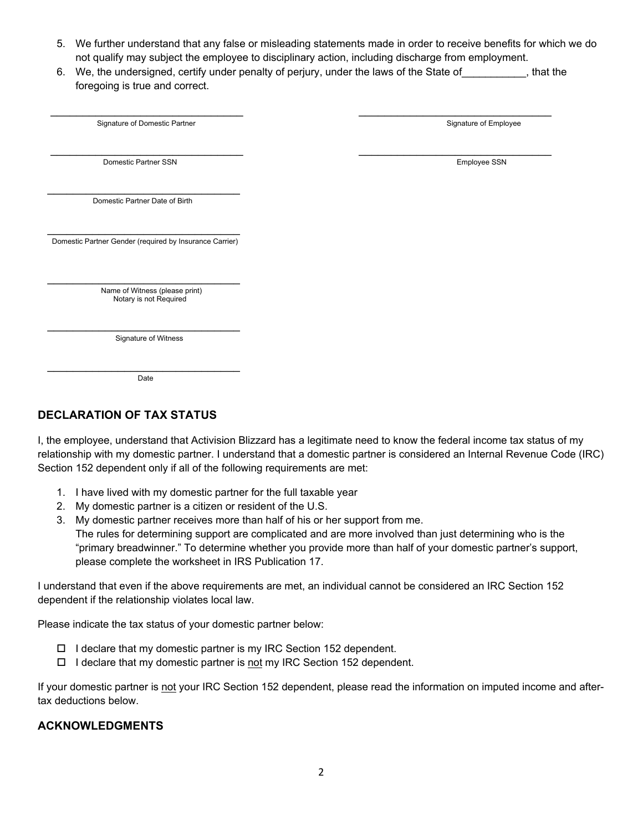- 5. We further understand that any false or misleading statements made in order to receive benefits for which we do not qualify may subject the employee to disciplinary action, including discharge from employment.
- 6. We, the undersigned, certify under penalty of perjury, under the laws of the State of The State of  $\mu$ , that the foregoing is true and correct.

| Signature of Domestic Partner                            | Signature of Employee |
|----------------------------------------------------------|-----------------------|
|                                                          |                       |
| Domestic Partner SSN                                     | Employee SSN          |
|                                                          |                       |
| Domestic Partner Date of Birth                           |                       |
|                                                          |                       |
| Domestic Partner Gender (required by Insurance Carrier)  |                       |
|                                                          |                       |
| Name of Witness (please print)<br>Notary is not Required |                       |
|                                                          |                       |
| Signature of Witness                                     |                       |
|                                                          |                       |
| Date                                                     |                       |

## **DECLARATION OF TAX STATUS**

I, the employee, understand that Activision Blizzard has a legitimate need to know the federal income tax status of my relationship with my domestic partner. I understand that a domestic partner is considered an Internal Revenue Code (IRC) Section 152 dependent only if all of the following requirements are met:

- 1. I have lived with my domestic partner for the full taxable year
- 2. My domestic partner is a citizen or resident of the U.S.
- 3. My domestic partner receives more than half of his or her support from me. The rules for determining support are complicated and are more involved than just determining who is the "primary breadwinner." To determine whether you provide more than half of your domestic partner's support, please complete the worksheet in IRS Publication 17.

I understand that even if the above requirements are met, an individual cannot be considered an IRC Section 152 dependent if the relationship violates local law.

Please indicate the tax status of your domestic partner below:

- $\Box$  I declare that my domestic partner is my IRC Section 152 dependent.
- $\Box$  I declare that my domestic partner is not my IRC Section 152 dependent.

If your domestic partner is not your IRC Section 152 dependent, please read the information on imputed income and aftertax deductions below.

## **ACKNOWLEDGMENTS**